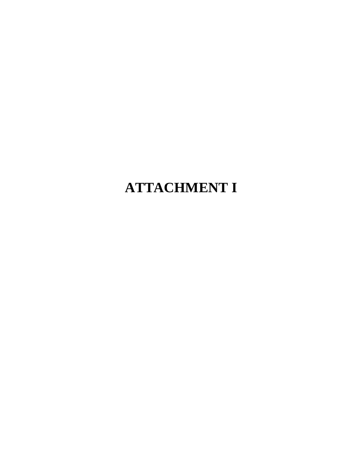## **ATTACHMENT I**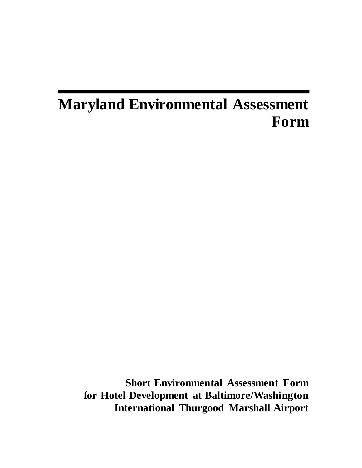## **Maryland Environmental Assessment Form**

**Short Environmental Assessment Form for Hotel Development at Baltimore/Washington International Thurgood Marshall Airport**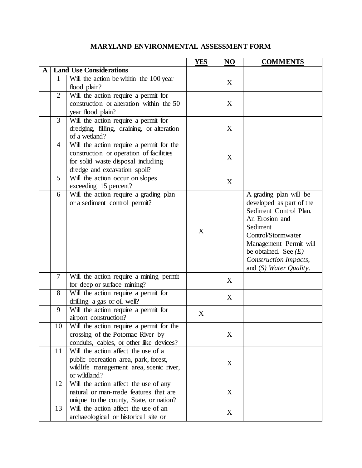|   |                |                                                             | <b>YES</b> | N <sub>O</sub> | <b>COMMENTS</b>                |
|---|----------------|-------------------------------------------------------------|------------|----------------|--------------------------------|
| A |                | <b>Land Use Considerations</b>                              |            |                |                                |
|   | 1              | Will the action be within the 100 year                      |            | X              |                                |
|   |                | flood plain?                                                |            |                |                                |
|   | $\overline{2}$ | Will the action require a permit for                        |            |                |                                |
|   |                | construction or alteration within the 50                    |            | X              |                                |
|   | 3              | year flood plain?<br>Will the action require a permit for   |            |                |                                |
|   |                | dredging, filling, draining, or alteration<br>of a wetland? |            | X              |                                |
|   | $\overline{4}$ | Will the action require a permit for the                    |            |                |                                |
|   |                | construction or operation of facilities                     |            |                |                                |
|   |                | for solid waste disposal including                          |            | X              |                                |
|   |                | dredge and excavation spoil?                                |            |                |                                |
|   | 5              | Will the action occur on slopes                             |            | X              |                                |
|   |                | exceeding 15 percent?                                       |            |                |                                |
|   | 6              | Will the action require a grading plan                      |            |                | A grading plan will be         |
|   |                | or a sediment control permit?                               |            |                | developed as part of the       |
|   |                |                                                             |            |                | Sediment Control Plan.         |
|   |                |                                                             |            |                | An Erosion and                 |
|   |                |                                                             | X          |                | Sediment<br>Control/Stormwater |
|   |                |                                                             |            |                | Management Permit will         |
|   |                |                                                             |            |                | be obtained. See $(E)$         |
|   |                |                                                             |            |                | Construction Impacts,          |
|   |                |                                                             |            |                | and $(S)$ Water Quality.       |
|   | 7              | Will the action require a mining permit                     |            |                |                                |
|   |                | for deep or surface mining?                                 |            | X              |                                |
|   | 8              | Will the action require a permit for                        |            | X              |                                |
|   |                | drilling a gas or oil well?                                 |            |                |                                |
|   | 9              | Will the action require a permit for                        | X          |                |                                |
|   |                | airport construction?                                       |            |                |                                |
|   | 10             | Will the action require a permit for the                    |            |                |                                |
|   |                | crossing of the Potomac River by                            |            | X              |                                |
|   |                | conduits, cables, or other like devices?                    |            |                |                                |
|   | 11             | Will the action affect the use of a                         |            |                |                                |
|   |                | public recreation area, park, forest,                       |            | X              |                                |
|   |                | wildlife management area, scenic river,<br>or wildland?     |            |                |                                |
|   | 12             | Will the action affect the use of any                       |            |                |                                |
|   |                | natural or man-made features that are                       |            | X              |                                |
|   |                | unique to the county, State, or nation?                     |            |                |                                |
|   | 13             | Will the action affect the use of an                        |            |                |                                |
|   |                | archaeological or historical site or                        |            | X              |                                |

## **MARYLAND ENVIRONMENTAL ASSESSMENT FORM**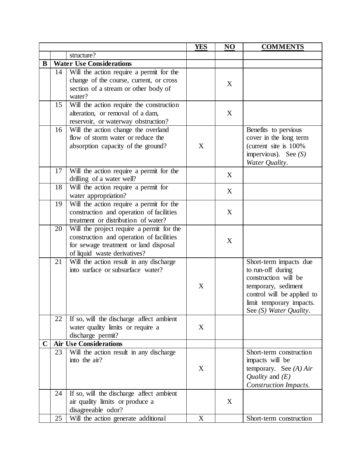|             |    |                                                    | <b>YES</b> | N <sub>O</sub> | <b>COMMENTS</b>                          |
|-------------|----|----------------------------------------------------|------------|----------------|------------------------------------------|
|             |    | structure?                                         |            |                |                                          |
| B           |    | <b>Water Use Considerations</b>                    |            |                |                                          |
|             | 14 | Will the action require a permit for the           |            |                |                                          |
|             |    | change of the course, current, or cross            |            | X              |                                          |
|             |    | section of a stream or other body of               |            |                |                                          |
|             |    | water?                                             |            |                |                                          |
|             | 15 | Will the action require the construction           |            |                |                                          |
|             |    | alteration, or removal of a dam,                   |            | X              |                                          |
|             |    | reservoir, or waterway obstruction?                |            |                |                                          |
|             | 16 | Will the action change the overland                |            |                | Benefits to pervious                     |
|             |    | flow of storm water or reduce the                  |            |                | cover in the long term                   |
|             |    | absorption capacity of the ground?                 | X          |                | (current site is 100%)                   |
|             |    |                                                    |            |                | impervious). See $(S)$<br>Water Quality. |
|             | 17 | Will the action require a permit for the           |            |                |                                          |
|             |    | drilling of a water well?                          |            | X              |                                          |
|             | 18 | Will the action require a permit for               |            |                |                                          |
|             |    | water appropriation?                               |            | X              |                                          |
|             | 19 | Will the action require a permit for the           |            |                |                                          |
|             |    | construction and operation of facilities           |            | X              |                                          |
|             |    | treatment or distribution of water?                |            |                |                                          |
|             | 20 | Will the project require a permit for the          |            |                |                                          |
|             |    | construction and operation of facilities           |            | X              |                                          |
|             |    | for sewage treatment or land disposal              |            |                |                                          |
|             |    | of liquid waste derivatives?                       |            |                |                                          |
|             | 21 | Will the action result in any discharge            |            |                | Short-term impacts due                   |
|             |    | into surface or subsurface water?                  |            |                | to run-off during                        |
|             |    |                                                    |            |                | construction will be                     |
|             |    |                                                    | X          |                | temporary, sediment                      |
|             |    |                                                    |            |                | control will be applied to               |
|             |    |                                                    |            |                | limit temporary impacts.                 |
|             |    |                                                    |            |                | See (S) Water Quality.                   |
|             | 22 | If so, will the discharge affect ambient           |            |                |                                          |
|             |    | water quality limits or require a                  | X          |                |                                          |
|             |    | discharge permit?<br><b>Air Use Considerations</b> |            |                |                                          |
| $\mathbf C$ | 23 | Will the action result in any discharge            |            |                | Short-term construction                  |
|             |    | into the air?                                      |            |                | impacts will be                          |
|             |    |                                                    | X          |                | temporary. See $(A) Air$                 |
|             |    |                                                    |            |                | Quality and $(E)$                        |
|             |    |                                                    |            |                | Construction Impacts.                    |
|             | 24 | If so, will the discharge affect ambient           |            |                |                                          |
|             |    | air quality limits or produce a                    |            | X              |                                          |
|             |    | disagreeable odor?                                 |            |                |                                          |
|             | 25 | Will the action generate additional                | X          |                | Short-term construction                  |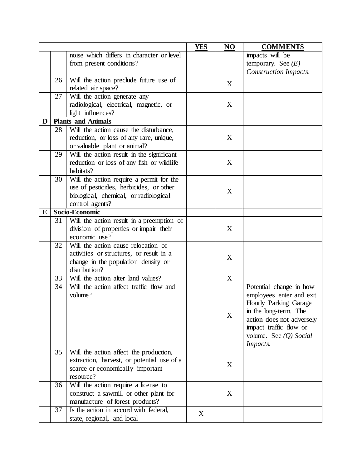|   |    |                                            | <b>YES</b> | NO | <b>COMMENTS</b>           |
|---|----|--------------------------------------------|------------|----|---------------------------|
|   |    | noise which differs in character or level  |            |    | impacts will be           |
|   |    | from present conditions?                   |            |    | temporary. See $(E)$      |
|   |    |                                            |            |    | Construction Impacts.     |
|   | 26 | Will the action preclude future use of     |            | X  |                           |
|   |    | related air space?                         |            |    |                           |
|   | 27 | Will the action generate any               |            |    |                           |
|   |    | radiological, electrical, magnetic, or     |            | X  |                           |
|   |    | light influences?                          |            |    |                           |
| D |    | <b>Plants and Animals</b>                  |            |    |                           |
|   | 28 | Will the action cause the disturbance,     |            |    |                           |
|   |    | reduction, or loss of any rare, unique,    |            | X  |                           |
|   |    | or valuable plant or animal?               |            |    |                           |
|   | 29 | Will the action result in the significant  |            |    |                           |
|   |    | reduction or loss of any fish or wildlife  |            | X  |                           |
|   |    | habitats?                                  |            |    |                           |
|   | 30 | Will the action require a permit for the   |            |    |                           |
|   |    | use of pesticides, herbicides, or other    |            | X  |                           |
|   |    | biological, chemical, or radiological      |            |    |                           |
|   |    | control agents?                            |            |    |                           |
| E |    | Socio-Economic                             |            |    |                           |
|   | 31 | Will the action result in a preemption of  |            |    |                           |
|   |    | division of properties or impair their     |            | X  |                           |
|   |    | economic use?                              |            |    |                           |
|   | 32 | Will the action cause relocation of        |            |    |                           |
|   |    | activities or structures, or result in a   |            | X  |                           |
|   |    | change in the population density or        |            |    |                           |
|   |    | distribution?                              |            |    |                           |
|   | 33 | Will the action alter land values?         |            | X  |                           |
|   | 34 | Will the action affect traffic flow and    |            |    | Potential change in how   |
|   |    | volume?                                    |            |    | employees enter and exit  |
|   |    |                                            |            | X  | Hourly Parking Garage     |
|   |    |                                            |            |    | in the long-term. The     |
|   |    |                                            |            |    | action does not adversely |
|   |    |                                            |            |    | impact traffic flow or    |
|   |    |                                            |            |    | volume. See (Q) Social    |
|   |    |                                            |            |    | <i>Impacts.</i>           |
|   | 35 | Will the action affect the production,     |            |    |                           |
|   |    | extraction, harvest, or potential use of a |            | X  |                           |
|   |    | scarce or economically important           |            |    |                           |
|   |    | resource?                                  |            |    |                           |
|   | 36 | Will the action require a license to       |            |    |                           |
|   |    | construct a sawmill or other plant for     |            | X  |                           |
|   |    | manufacture of forest products?            |            |    |                           |
|   | 37 | Is the action in accord with federal,      | X          |    |                           |
|   |    | state, regional, and local                 |            |    |                           |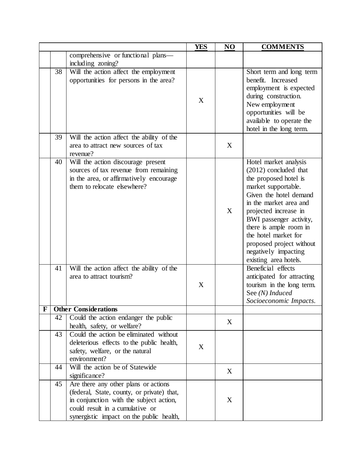|    |          |                                                                                                                                                                                                                                | <b>YES</b> | NO | <b>COMMENTS</b>                                                                                                                                                                                                                                                                                                                                                                                                                             |
|----|----------|--------------------------------------------------------------------------------------------------------------------------------------------------------------------------------------------------------------------------------|------------|----|---------------------------------------------------------------------------------------------------------------------------------------------------------------------------------------------------------------------------------------------------------------------------------------------------------------------------------------------------------------------------------------------------------------------------------------------|
|    |          | comprehensive or functional plans—                                                                                                                                                                                             |            |    |                                                                                                                                                                                                                                                                                                                                                                                                                                             |
|    |          | including zoning?                                                                                                                                                                                                              |            |    |                                                                                                                                                                                                                                                                                                                                                                                                                                             |
|    | 38       | Will the action affect the employment<br>opportunities for persons in the area?                                                                                                                                                | X          |    | Short term and long term<br>benefit. Increased<br>employment is expected<br>during construction.<br>New employment<br>opportunities will be<br>available to operate the<br>hotel in the long term.                                                                                                                                                                                                                                          |
|    | 39       | Will the action affect the ability of the<br>area to attract new sources of tax<br>revenue?                                                                                                                                    |            | X  |                                                                                                                                                                                                                                                                                                                                                                                                                                             |
|    | 40<br>41 | Will the action discourage present<br>sources of tax revenue from remaining<br>in the area, or affirmatively encourage<br>them to relocate elsewhere?<br>Will the action affect the ability of the<br>area to attract tourism? | X          | X  | Hotel market analysis<br>$(2012)$ concluded that<br>the proposed hotel is<br>market supportable.<br>Given the hotel demand<br>in the market area and<br>projected increase in<br>BWI passenger activity,<br>there is ample room in<br>the hotel market for<br>proposed project without<br>negatively impacting<br>existing area hotels.<br>Beneficial effects<br>anticipated for attracting<br>tourism in the long term.<br>See (N) Induced |
| Ŀ. |          | <b>Other Considerations</b>                                                                                                                                                                                                    |            |    | Socioeconomic Impacts.                                                                                                                                                                                                                                                                                                                                                                                                                      |
|    | 42       | Could the action endanger the public<br>health, safety, or welfare?                                                                                                                                                            |            | X  |                                                                                                                                                                                                                                                                                                                                                                                                                                             |
|    | 43       | Could the action be eliminated without<br>deleterious effects to the public health,<br>safety, welfare, or the natural<br>environment?                                                                                         | X          |    |                                                                                                                                                                                                                                                                                                                                                                                                                                             |
|    | 44       | Will the action be of Statewide<br>significance?                                                                                                                                                                               |            | X  |                                                                                                                                                                                                                                                                                                                                                                                                                                             |
|    | 45       | Are there any other plans or actions<br>(federal, State, county, or private) that,<br>in conjunction with the subject action,<br>could result in a cumulative or<br>synergistic impact on the public health,                   |            | X  |                                                                                                                                                                                                                                                                                                                                                                                                                                             |